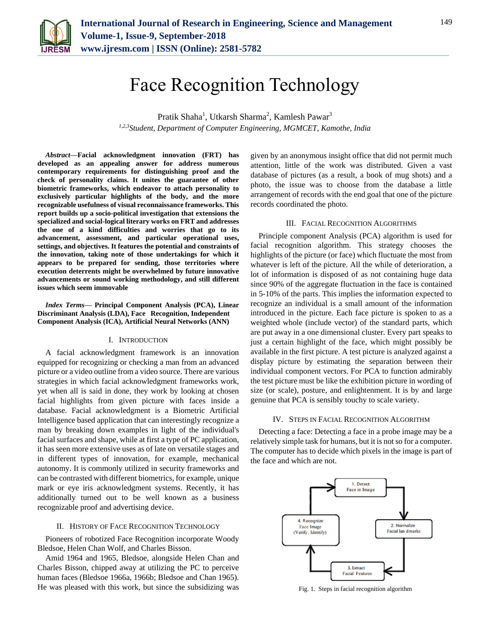

# Face Recognition Technology

Pratik Shaha<sup>1</sup>, Utkarsh Sharma<sup>2</sup>, Kamlesh Pawar<sup>3</sup> *1,2,3Student, Department of Computer Engineering, MGMCET, Kamothe, India*

*Abstract***—Facial acknowledgment innovation (FRT) has developed as an appealing answer for address numerous contemporary requirements for distinguishing proof and the check of personality claims. It unites the guarantee of other biometric frameworks, which endeavor to attach personality to exclusively particular highlights of the body, and the more recognizable usefulness of visual reconnaissance frameworks. This report builds up a socio-political investigation that extensions the specialized and social-logical literary works on FRT and addresses the one of a kind difficulties and worries that go to its advancement, assessment, and particular operational uses, settings, and objectives. It features the potential and constraints of the innovation, taking note of those undertakings for which it appears to be prepared for sending, those territories where execution deterrents might be overwhelmed by future innovative advancements or sound working methodology, and still different issues which seem immovable**

*Index Terms***— Principal Component Analysis (PCA), Linear Discriminant Analysis (LDA), Face Recognition, Independent Component Analysis (ICA), Artificial Neural Networks (ANN)**

## I. INTRODUCTION

A facial acknowledgment framework is an innovation equipped for recognizing or checking a man from an advanced picture or a video outline from a video source. There are various strategies in which facial acknowledgment frameworks work, yet when all is said in done, they work by looking at chosen facial highlights from given picture with faces inside a database. Facial acknowledgment is a Biometric Artificial Intelligence based application that can interestingly recognize a man by breaking down examples in light of the individual's facial surfaces and shape, while at first a type of PC application, it has seen more extensive uses as of late on versatile stages and in different types of innovation, for example, mechanical autonomy. It is commonly utilized in security frameworks and can be contrasted with different biometrics, for example, unique mark or eye iris acknowledgment systems. Recently, it has additionally turned out to be well known as a business recognizable proof and advertising device.

# II. HISTORY OF FACE RECOGNITION TECHNOLOGY

Pioneers of robotized Face Recognition incorporate Woody Bledsoe, Helen Chan Wolf, and Charles Bisson.

Amid 1964 and 1965, Bledsoe, alongside Helen Chan and Charles Bisson, chipped away at utilizing the PC to perceive human faces (Bledsoe 1966a, 1966b; Bledsoe and Chan 1965). He was pleased with this work, but since the subsidizing was

given by an anonymous insight office that did not permit much attention, little of the work was distributed. Given a vast database of pictures (as a result, a book of mug shots) and a photo, the issue was to choose from the database a little arrangement of records with the end goal that one of the picture records coordinated the photo.

## III. FACIAL RECOGNITION ALGORITHMS

Principle component Analysis (PCA) algorithm is used for facial recognition algorithm. This strategy chooses the highlights of the picture (or face) which fluctuate the most from whatever is left of the picture. All the while of deterioration, a lot of information is disposed of as not containing huge data since 90% of the aggregate fluctuation in the face is contained in 5-10% of the parts. This implies the information expected to recognize an individual is a small amount of the information introduced in the picture. Each face picture is spoken to as a weighted whole (include vector) of the standard parts, which are put away in a one dimensional cluster. Every part speaks to just a certain highlight of the face, which might possibly be available in the first picture. A test picture is analyzed against a display picture by estimating the separation between their individual component vectors. For PCA to function admirably the test picture must be like the exhibition picture in wording of size (or scale), posture, and enlightenment. It is by and large genuine that PCA is sensibly touchy to scale variety.

#### IV. STEPS IN FACIAL RECOGNITION ALGORITHM

Detecting a face: Detecting a face in a probe image may be a relatively simple task for humans, but it is not so for a computer. The computer has to decide which pixels in the image is part of the face and which are not.



Fig. 1. Steps in facial recognition algorithm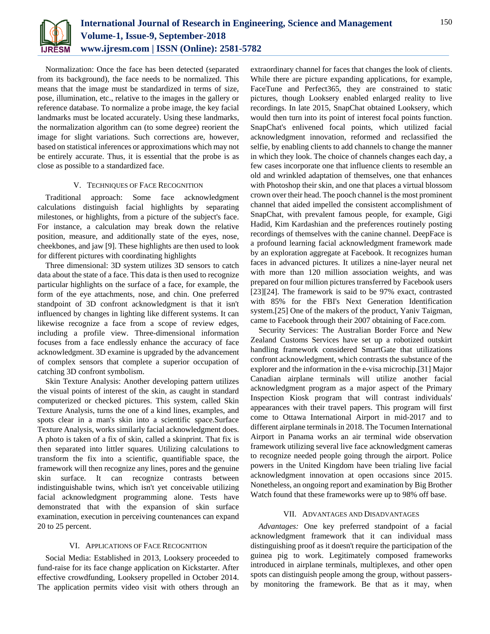

Normalization: Once the face has been detected (separated from its background), the face needs to be normalized. This means that the image must be standardized in terms of size, pose, illumination, etc., relative to the images in the gallery or reference database. To normalize a probe image, the key facial landmarks must be located accurately. Using these landmarks, the normalization algorithm can (to some degree) reorient the image for slight variations. Such corrections are, however, based on statistical inferences or approximations which may not be entirely accurate. Thus, it is essential that the probe is as close as possible to a standardized face.

# V. TECHNIQUES OF FACE RECOGNITION

Traditional approach: Some face acknowledgment calculations distinguish facial highlights by separating milestones, or highlights, from a picture of the subject's face. For instance, a calculation may break down the relative position, measure, and additionally state of the eyes, nose, cheekbones, and jaw [9]. These highlights are then used to look for different pictures with coordinating highlights

Three dimensional: 3D system utilizes 3D sensors to catch data about the state of a face. This data is then used to recognize particular highlights on the surface of a face, for example, the form of the eye attachments, nose, and chin. One preferred standpoint of 3D confront acknowledgment is that it isn't influenced by changes in lighting like different systems. It can likewise recognize a face from a scope of review edges, including a profile view. Three-dimensional information focuses from a face endlessly enhance the accuracy of face acknowledgment. 3D examine is upgraded by the advancement of complex sensors that complete a superior occupation of catching 3D confront symbolism.

Skin Texture Analysis: Another developing pattern utilizes the visual points of interest of the skin, as caught in standard computerized or checked pictures. This system, called Skin Texture Analysis, turns the one of a kind lines, examples, and spots clear in a man's skin into a scientific space.Surface Texture Analysis, works similarly facial acknowledgment does. A photo is taken of a fix of skin, called a skinprint. That fix is then separated into littler squares. Utilizing calculations to transform the fix into a scientific, quantifiable space, the framework will then recognize any lines, pores and the genuine skin surface. It can recognize contrasts between indistinguishable twins, which isn't yet conceivable utilizing facial acknowledgment programming alone. Tests have demonstrated that with the expansion of skin surface examination, execution in perceiving countenances can expand 20 to 25 percent.

# VI. APPLICATIONS OF FACE RECOGNITION

Social Media: Established in 2013, Looksery proceeded to fund-raise for its face change application on Kickstarter. After effective crowdfunding, Looksery propelled in October 2014. The application permits video visit with others through an extraordinary channel for faces that changes the look of clients. While there are picture expanding applications, for example, FaceTune and Perfect365, they are constrained to static pictures, though Looksery enabled enlarged reality to live recordings. In late 2015, SnapChat obtained Looksery, which would then turn into its point of interest focal points function. SnapChat's enlivened focal points, which utilized facial acknowledgment innovation, reformed and reclassified the selfie, by enabling clients to add channels to change the manner in which they look. The choice of channels changes each day, a few cases incorporate one that influence clients to resemble an old and wrinkled adaptation of themselves, one that enhances with Photoshop their skin, and one that places a virtual blossom crown over their head. The pooch channel is the most prominent channel that aided impelled the consistent accomplishment of SnapChat, with prevalent famous people, for example, Gigi Hadid, Kim Kardashian and the preferences routinely posting recordings of themselves with the canine channel. DeepFace is a profound learning facial acknowledgment framework made by an exploration aggregate at Facebook. It recognizes human faces in advanced pictures. It utilizes a nine-layer neural net with more than 120 million association weights, and was prepared on four million pictures transferred by Facebook users [23][24]. The framework is said to be 97% exact, contrasted with 85% for the FBI's Next Generation Identification system.[25] One of the makers of the product, Yaniv Taigman, came to Facebook through their 2007 obtaining of Face.com.

Security Services: The Australian Border Force and New Zealand Customs Services have set up a robotized outskirt handling framework considered SmartGate that utilizations confront acknowledgment, which contrasts the substance of the explorer and the information in the e-visa microchip.[31] Major Canadian airplane terminals will utilize another facial acknowledgment program as a major aspect of the Primary Inspection Kiosk program that will contrast individuals' appearances with their travel papers. This program will first come to Ottawa International Airport in mid-2017 and to different airplane terminals in 2018. The Tocumen International Airport in Panama works an air terminal wide observation framework utilizing several live face acknowledgment cameras to recognize needed people going through the airport. Police powers in the United Kingdom have been trialing live facial acknowledgment innovation at open occasions since 2015. Nonetheless, an ongoing report and examination by Big Brother Watch found that these frameworks were up to 98% off base.

## VII. ADVANTAGES AND DISADVANTAGES

*Advantages:* One key preferred standpoint of a facial acknowledgment framework that it can individual mass distinguishing proof as it doesn't require the participation of the guinea pig to work. Legitimately composed frameworks introduced in airplane terminals, multiplexes, and other open spots can distinguish people among the group, without passersby monitoring the framework. Be that as it may, when